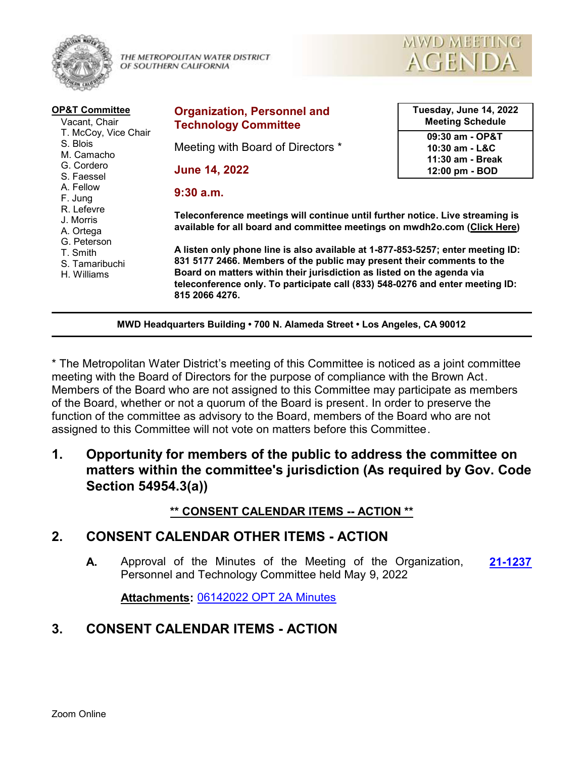

THE METROPOLITAN WATER DISTRICT OF SOUTHERN CALIFORNIA



| <b>OP&amp;T Committee</b><br>Vacant, Chair                                                                                                                                                             | <b>Organization, Personnel and</b><br><b>Technology Committee</b>                                                                                                                                                                                                                                                                      | Tuesday, June 14, 2022<br><b>Meeting Schedule</b>       |
|--------------------------------------------------------------------------------------------------------------------------------------------------------------------------------------------------------|----------------------------------------------------------------------------------------------------------------------------------------------------------------------------------------------------------------------------------------------------------------------------------------------------------------------------------------|---------------------------------------------------------|
| T. McCoy, Vice Chair<br>S. Blois<br>M. Camacho<br>G. Cordero<br>S. Faessel<br>A. Fellow<br>F. Jung<br>R. Lefevre<br>J. Morris<br>A. Ortega<br>G. Peterson<br>T. Smith<br>S. Tamaribuchi<br>H. Williams | Meeting with Board of Directors *                                                                                                                                                                                                                                                                                                      | 09:30 am - OP&T<br>$10:30$ am - L&C<br>11:30 am - Break |
|                                                                                                                                                                                                        | <b>June 14, 2022</b>                                                                                                                                                                                                                                                                                                                   | 12:00 pm - BOD                                          |
|                                                                                                                                                                                                        | $9:30$ a.m.                                                                                                                                                                                                                                                                                                                            |                                                         |
|                                                                                                                                                                                                        | Teleconference meetings will continue until further notice. Live streaming is<br>available for all board and committee meetings on mwdh2o.com (Click Here)                                                                                                                                                                             |                                                         |
|                                                                                                                                                                                                        | A listen only phone line is also available at 1-877-853-5257; enter meeting ID:<br>831 5177 2466. Members of the public may present their comments to the<br>Board on matters within their jurisdiction as listed on the agenda via<br>teleconference only. To participate call (833) 548-0276 and enter meeting ID:<br>815 2066 4276. |                                                         |

**MWD Headquarters Building • 700 N. Alameda Street • Los Angeles, CA 90012**

\* The Metropolitan Water District's meeting of this Committee is noticed as a joint committee meeting with the Board of Directors for the purpose of compliance with the Brown Act. Members of the Board who are not assigned to this Committee may participate as members of the Board, whether or not a quorum of the Board is present. In order to preserve the function of the committee as advisory to the Board, members of the Board who are not assigned to this Committee will not vote on matters before this Committee.

**1. Opportunity for members of the public to address the committee on matters within the committee's jurisdiction (As required by Gov. Code Section 54954.3(a))**

#### **\*\* CONSENT CALENDAR ITEMS -- ACTION \*\***

#### **2. CONSENT CALENDAR OTHER ITEMS - ACTION**

**A.** Approval of the Minutes of the Meeting of the Organization, **[21-1237](http://mwdh2o.legistar.com/gateway.aspx?m=l&id=/matter.aspx?key=2329)** Personnel and Technology Committee held May 9, 2022

**Attachments:** [06142022 OPT 2A Minutes](http://mwdh2o.legistar.com/gateway.aspx?M=F&ID=d36dd110-58b8-4c75-9850-1c4f71c04b80.pdf)

### **3. CONSENT CALENDAR ITEMS - ACTION**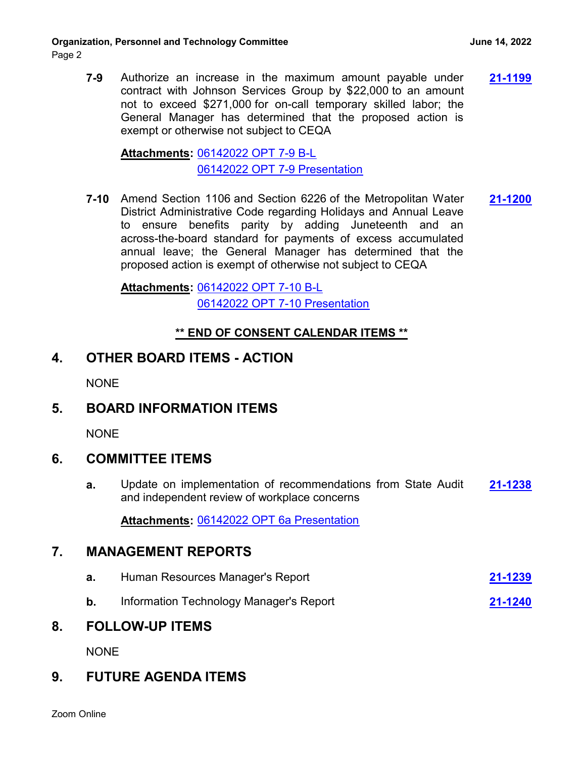**7-9** Authorize an increase in the maximum amount payable under **[21-1199](http://mwdh2o.legistar.com/gateway.aspx?m=l&id=/matter.aspx?key=2291)** contract with Johnson Services Group by \$22,000 to an amount not to exceed \$271,000 for on-call temporary skilled labor; the General Manager has determined that the proposed action is exempt or otherwise not subject to CEQA

[06142022 OPT 7-9 B-L](http://mwdh2o.legistar.com/gateway.aspx?M=F&ID=759f80ef-fe1b-4d62-ac8c-38549c7b86f7.pdf) **Attachments:** [06142022 OPT 7-9 Presentation](http://mwdh2o.legistar.com/gateway.aspx?M=F&ID=6f6f6536-48a6-48f7-81ba-0f0dd36887bc.pdf)

**7-10** Amend Section 1106 and Section 6226 of the Metropolitan Water **[21-1200](http://mwdh2o.legistar.com/gateway.aspx?m=l&id=/matter.aspx?key=2292)** District Administrative Code regarding Holidays and Annual Leave to ensure benefits parity by adding Juneteenth and an across-the-board standard for payments of excess accumulated annual leave; the General Manager has determined that the proposed action is exempt of otherwise not subject to CEQA

[06142022 OPT 7-10 B-L](http://mwdh2o.legistar.com/gateway.aspx?M=F&ID=94dbc01f-cfe8-4f42-9941-20b5557e5b6b.pdf) **Attachments:** [06142022 OPT 7-10 Presentation](http://mwdh2o.legistar.com/gateway.aspx?M=F&ID=818ee9c5-bca7-4fc5-803a-aca169980d77.pdf)

#### **\*\* END OF CONSENT CALENDAR ITEMS \*\***

### **4. OTHER BOARD ITEMS - ACTION**

**NONE** 

# **5. BOARD INFORMATION ITEMS**

**NONE** 

### **6. COMMITTEE ITEMS**

**a.** Update on implementation of recommendations from State Audit **[21-1238](http://mwdh2o.legistar.com/gateway.aspx?m=l&id=/matter.aspx?key=2330)** and independent review of workplace concerns

**Attachments:** [06142022 OPT 6a Presentation](http://mwdh2o.legistar.com/gateway.aspx?M=F&ID=ccef10b5-8e8c-4ee6-85cc-93792fda91a6.pdf)

### **7. MANAGEMENT REPORTS**

- **a.** Human Resources Manager's Report **[21-1239](http://mwdh2o.legistar.com/gateway.aspx?m=l&id=/matter.aspx?key=2331)**
- **b.** Information Technology Manager's Report **[21-1240](http://mwdh2o.legistar.com/gateway.aspx?m=l&id=/matter.aspx?key=2332)**

#### **8. FOLLOW-UP ITEMS**

NONE

# **9. FUTURE AGENDA ITEMS**